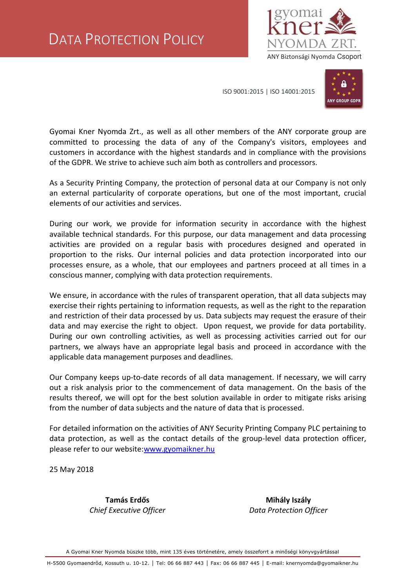

ISO 9001:2015 | ISO 14001:2015



Gyomai Kner Nyomda Zrt., as well as all other members of the ANY corporate group are committed to processing the data of any of the Company's visitors, employees and customers in accordance with the highest standards and in compliance with the provisions of the GDPR. We strive to achieve such aim both as controllers and processors.

As a Security Printing Company, the protection of personal data at our Company is not only an external particularity of corporate operations, but one of the most important, crucial elements of our activities and services.

During our work, we provide for information security in accordance with the highest available technical standards. For this purpose, our data management and data processing activities are provided on a regular basis with procedures designed and operated in proportion to the risks. Our internal policies and data protection incorporated into our processes ensure, as a whole, that our employees and partners proceed at all times in a conscious manner, complying with data protection requirements.

We ensure, in accordance with the rules of transparent operation, that all data subjects may exercise their rights pertaining to information requests, as well as the right to the reparation and restriction of their data processed by us. Data subjects may request the erasure of their data and may exercise the right to object. Upon request, we provide for data portability. During our own controlling activities, as well as processing activities carried out for our partners, we always have an appropriate legal basis and proceed in accordance with the applicable data management purposes and deadlines.

Our Company keeps up-to-date records of all data management. If necessary, we will carry out a risk analysis prior to the commencement of data management. On the basis of the results thereof, we will opt for the best solution available in order to mitigate risks arising from the number of data subjects and the nature of data that is processed.

For detailed information on the activities of ANY Security Printing Company PLC pertaining to data protection, as well as the contact details of the group-level data protection officer, please refer to our website: www.gyomaikner.hu

25 May 2018

**Tamás Erdős Mihály Iszály Chief Executive Officer Data Protection Officer** 

A Gyomai Kner Nyomda büszke több, mint 135 éves történetére, amely összeforrt a minőségi könyvgyártással

.<br>H-5500 Gyomaendrőd, Kossuth u. 10-12. | Tel: 06 66 887 443 | Fax: 06 66 887 445 | E-mail: knernyomda@gyomaikner.hu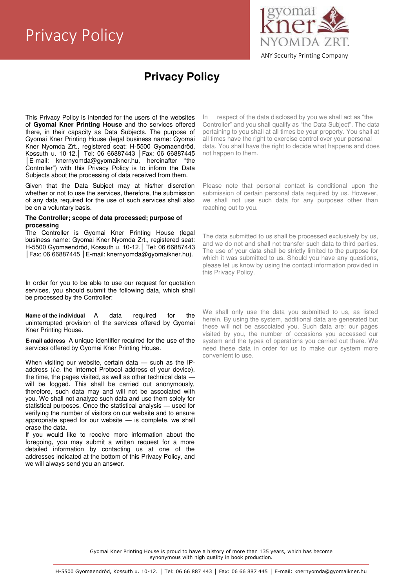

# **Privacy Policy**

This Privacy Policy is intended for the users of the websites of **Gyomai Kner Printing House** and the services offered there, in their capacity as Data Subjects. The purpose of Gyomai Kner Printing House (legal business name: Gyomai Kner Nyomda Zrt., registered seat: H-5500 Gyomaendrőd, Kossuth u. 10-12.│ Tel: 06 66887443 │Fax: 06 66887445 │E-mail: [knernyomda@gyomaikner.hu](mailto:knernyomda@gyomaikner.hu), hereinafter "the Controller") with this Privacy Policy is to inform the Data Subjects about the processing of data received from them.

Given that the Data Subject may at his/her discretion whether or not to use the services, therefore, the submission of any data required for the use of such services shall also be on a voluntary basis.

#### **The Controller; scope of data processed; purpose of processing**

The Controller is Gyomai Kner Printing House (legal business name: Gyomai Kner Nyomda Zrt., registered seat: H-5500 Gyomaendrőd, Kossuth u. 10-12.│ Tel: 06 66887443 │Fax: 06 66887445 │E-mail: [knernyomda@gyomaikner.hu\)](mailto:knernyomda@gyomaikner.hu).

In order for you to be able to use our request for quotation services, you should submit the following data, which shall be processed by the Controller:

**Name of the individual** A data required for the uninterrupted provision of the services offered by Gyomai Kner Printing House.

**E-mail address** A unique identifier required for the use of the services offered by Gyomai Kner Printing House.

When visiting our website, certain data — such as the IPaddress (*i.e.* the Internet Protocol address of your device), the time, the pages visited, as well as other technical data will be logged. This shall be carried out anonymously, therefore, such data may and will not be associated with you. We shall not analyze such data and use them solely for statistical purposes. Once the statistical analysis — used for verifying the number of visitors on our website and to ensure appropriate speed for our website — is complete, we shall erase the data.

If you would like to receive more information about the foregoing, you may submit a written request for a more detailed information by contacting us at one of the addresses indicated at the bottom of this Privacy Policy, and we will always send you an answer.

In respect of the data disclosed by you we shall act as "the Controller" and you shall qualify as "the Data Subject". The data pertaining to you shall at all times be your property. You shall at all times have the right to exercise control over your personal data. You shall have the right to decide what happens and does not happen to them.

Please note that personal contact is conditional upon the submission of certain personal data required by us. However, we shall not use such data for any purposes other than reaching out to you.

The data submitted to us shall be processed exclusively by us, and we do not and shall not transfer such data to third parties. The use of your data shall be strictly limited to the purpose for which it was submitted to us. Should you have any questions, please let us know by using the contact information provided in this Privacy Policy.

We shall only use the data you submitted to us, as listed herein. By using the system, additional data are generated but these will not be associated you. Such data are: our pages visited by you, the number of occasions you accessed our system and the types of operations you carried out there. We need these data in order for us to make our system more convenient to use.

Gyomai Kner Printing House is proud to have a history of more than 135 years, which has become synonymous with high quality in book production.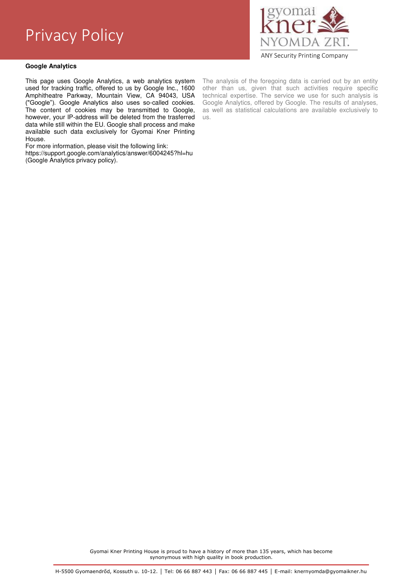# **Google Analytics**

This page uses Google Analytics, a web analytics system used for tracking traffic, offered to us by Google Inc., 1600 Amphitheatre Parkway, Mountain View, CA 94043, USA ("Google"). Google Analytics also uses so-called cookies. The content of cookies may be transmitted to Google, however, your IP-address will be deleted from the trasferred data while still within the EU. Google shall process and make available such data exclusively for Gyomai Kner Printing House.

For more information, please visit the following link:

https://support.google.com/analytics/answer/6004245?hl=hu (Google Analytics privacy policy).



The analysis of the foregoing data is carried out by an entity other than us, given that such activities require specific technical expertise. The service we use for such analysis is Google Analytics, offered by Google. The results of analyses, as well as statistical calculations are available exclusively to us.

Gyomai Kner Printing House is proud to have a history of more than 135 years, which has become synonymous with high quality in book production.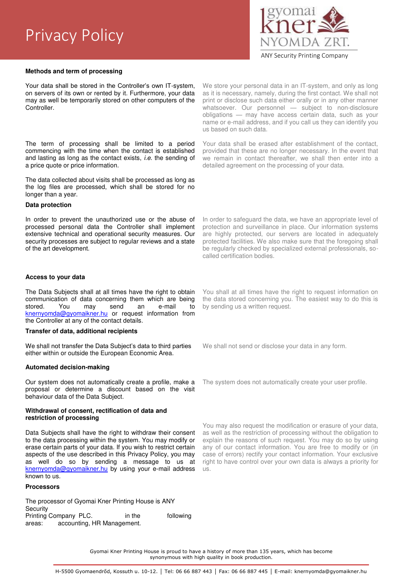

# **Methods and term of processing**

Your data shall be stored in the Controller's own IT-system, on servers of its own or rented by it. Furthermore, your data may as well be temporarily stored on other computers of the Controller.

The term of processing shall be limited to a period commencing with the time when the contact is established and lasting as long as the contact exists, *i.e.* the sending of a price quote or price information.

The data collected about visits shall be processed as long as the log files are processed, which shall be stored for no longer than a year.

### **Data protection**

In order to prevent the unauthorized use or the abuse of processed personal data the Controller shall implement extensive technical and operational security measures. Our security processes are subject to regular reviews and a state of the art development.

## **Access to your data**

The Data Subjects shall at all times have the right to obtain communication of data concerning them which are being<br>stored. You may send an e-mail to stored. You may send an e-mail to [knernyomda@gyomaikner.hu](mailto:knernyomda@gyomaikner.hu) or request information from the Controller at any of the contact details.

#### **Transfer of data, additional recipients**

We shall not transfer the Data Subject's data to third parties either within or outside the European Economic Area.

## **Automated decision-making**

Our system does not automatically create a profile, make a proposal or determine a discount based on the visit behaviour data of the Data Subject.

#### **Withdrawal of consent, rectification of data and restriction of processing**

Data Subjects shall have the right to withdraw their consent to the data processing within the system. You may modify or erase certain parts of your data. If you wish to restrict certain aspects of the use described in this Privacy Policy, you may as well do so by sending a message to us at [knernyomda@gyomaikner.hu](mailto:knernyomda@gyomaikner.hu) by using your e-mail address known to us.

## **Processors**

The processor of Gyomai Kner Printing House is ANY **Security** Printing Company PLC. in the following areas: accounting, HR Management.

We store your personal data in an IT-system, and only as long as it is necessary, namely, during the first contact. We shall not print or disclose such data either orally or in any other manner whatsoever. Our personnel — subject to non-disclosure obligations — may have access certain data, such as your name or e-mail address, and if you call us they can identify you us based on such data.

Your data shall be erased after establishment of the contact, provided that these are no longer necessary. In the event that we remain in contact thereafter, we shall then enter into a detailed agreement on the processing of your data.

In order to safeguard the data, we have an appropriate level of protection and surveillance in place. Our information systems are highly protected, our servers are located in adequately protected facilities. We also make sure that the foregoing shall be regularly checked by specialized external professionals, socalled certification bodies.

You shall at all times have the right to request information on the data stored concerning you. The easiest way to do this is by sending us a written request.

We shall not send or disclose your data in any form.

The system does not automatically create your user profile.

You may also request the modification or erasure of your data, as well as the restriction of processing without the obligation to explain the reasons of such request. You may do so by using any of our contact information. You are free to modify or (in case of errors) rectify your contact information. Your exclusive right to have control over your own data is always a priority for us.

Gyomai Kner Printing House is proud to have a history of more than 135 years, which has become synonymous with high quality in book production.